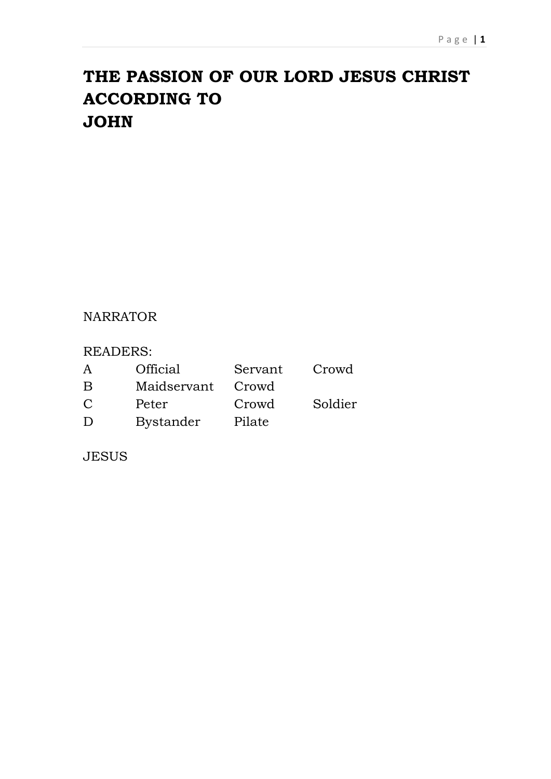## **THE PASSION OF OUR LORD JESUS CHRIST ACCORDING TO JOHN**

## NARRATOR

## READERS:

| A      | <b>Official</b>  | Servant | Crowd   |
|--------|------------------|---------|---------|
| B      | Maidservant      | Crowd   |         |
| C      | Peter            | Crowd   | Soldier |
| $\Box$ | <b>Bystander</b> | Pilate  |         |

JESUS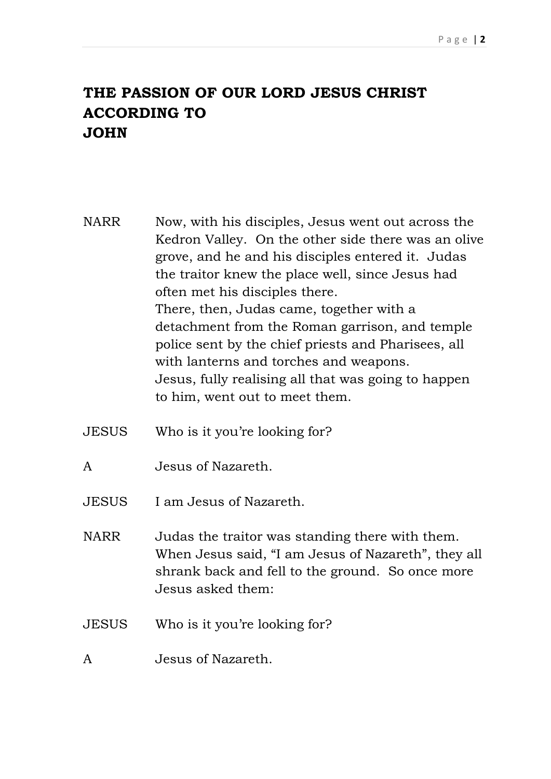## **THE PASSION OF OUR LORD JESUS CHRIST ACCORDING TO JOHN**

NARR Now, with his disciples, Jesus went out across the Kedron Valley. On the other side there was an olive grove, and he and his disciples entered it. Judas the traitor knew the place well, since Jesus had often met his disciples there. There, then, Judas came, together with a detachment from the Roman garrison, and temple police sent by the chief priests and Pharisees, all with lanterns and torches and weapons. Jesus, fully realising all that was going to happen to him, went out to meet them.

- JESUS Who is it you're looking for?
- A Jesus of Nazareth.
- JESUS I am Jesus of Nazareth.
- NARR Judas the traitor was standing there with them. When Jesus said, "I am Jesus of Nazareth", they all shrank back and fell to the ground. So once more Jesus asked them:
- JESUS Who is it you're looking for?
- A Jesus of Nazareth.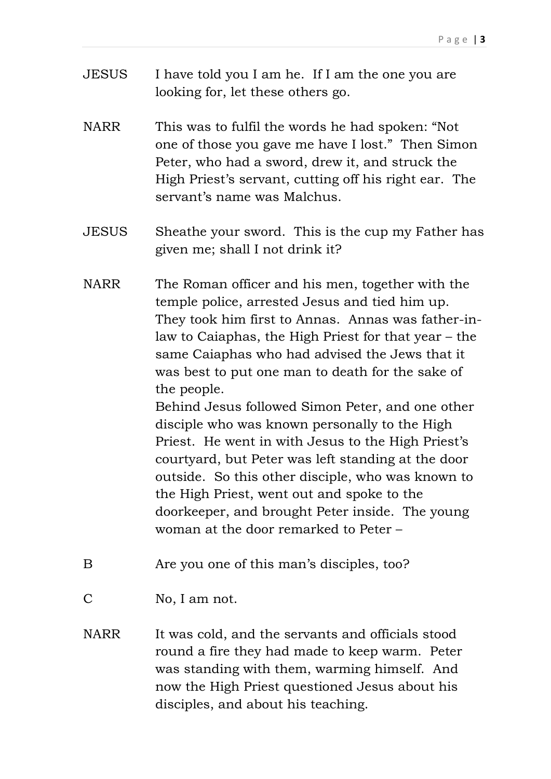- JESUS I have told you I am he. If I am the one you are looking for, let these others go.
- NARR This was to fulfil the words he had spoken: "Not one of those you gave me have I lost." Then Simon Peter, who had a sword, drew it, and struck the High Priest's servant, cutting off his right ear. The servant's name was Malchus.
- JESUS Sheathe your sword. This is the cup my Father has given me; shall I not drink it?
- NARR The Roman officer and his men, together with the temple police, arrested Jesus and tied him up. They took him first to Annas. Annas was father-inlaw to Caiaphas, the High Priest for that year – the same Caiaphas who had advised the Jews that it was best to put one man to death for the sake of the people.

Behind Jesus followed Simon Peter, and one other disciple who was known personally to the High Priest. He went in with Jesus to the High Priest's courtyard, but Peter was left standing at the door outside. So this other disciple, who was known to the High Priest, went out and spoke to the doorkeeper, and brought Peter inside. The young woman at the door remarked to Peter –

- B Are you one of this man's disciples, too?
- C No, I am not.
- NARR It was cold, and the servants and officials stood round a fire they had made to keep warm. Peter was standing with them, warming himself. And now the High Priest questioned Jesus about his disciples, and about his teaching.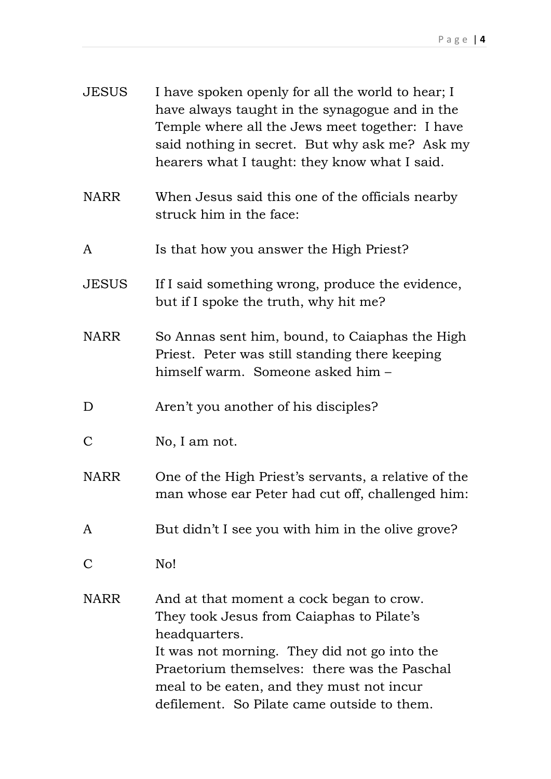| <b>JESUS</b> | I have spoken openly for all the world to hear; I<br>have always taught in the synagogue and in the<br>Temple where all the Jews meet together: I have<br>said nothing in secret. But why ask me? Ask my<br>hearers what I taught: they know what I said.                                          |
|--------------|----------------------------------------------------------------------------------------------------------------------------------------------------------------------------------------------------------------------------------------------------------------------------------------------------|
| <b>NARR</b>  | When Jesus said this one of the officials nearby<br>struck him in the face:                                                                                                                                                                                                                        |
| $\mathbf{A}$ | Is that how you answer the High Priest?                                                                                                                                                                                                                                                            |
| <b>JESUS</b> | If I said something wrong, produce the evidence,<br>but if I spoke the truth, why hit me?                                                                                                                                                                                                          |
| <b>NARR</b>  | So Annas sent him, bound, to Caiaphas the High<br>Priest. Peter was still standing there keeping<br>himself warm. Someone asked him -                                                                                                                                                              |
| D            | Aren't you another of his disciples?                                                                                                                                                                                                                                                               |
| $\mathbf C$  | No, I am not.                                                                                                                                                                                                                                                                                      |
| <b>NARR</b>  | One of the High Priest's servants, a relative of the<br>man whose ear Peter had cut off, challenged him:                                                                                                                                                                                           |
| A            | But didn't I see you with him in the olive grove?                                                                                                                                                                                                                                                  |
| $\mathsf{C}$ | No!                                                                                                                                                                                                                                                                                                |
| <b>NARR</b>  | And at that moment a cock began to crow.<br>They took Jesus from Caiaphas to Pilate's<br>headquarters.<br>It was not morning. They did not go into the<br>Praetorium themselves: there was the Paschal<br>meal to be eaten, and they must not incur<br>defilement. So Pilate came outside to them. |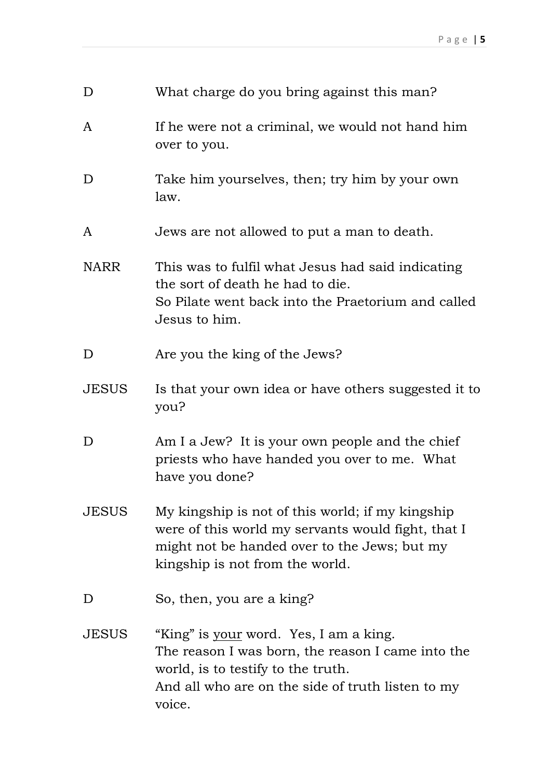| D            | What charge do you bring against this man?                                                                                                                                                              |
|--------------|---------------------------------------------------------------------------------------------------------------------------------------------------------------------------------------------------------|
| A            | If he were not a criminal, we would not hand him<br>over to you.                                                                                                                                        |
| D            | Take him yourselves, then; try him by your own<br>law.                                                                                                                                                  |
| A            | Jews are not allowed to put a man to death.                                                                                                                                                             |
| <b>NARR</b>  | This was to fulfil what Jesus had said indicating<br>the sort of death he had to die.<br>So Pilate went back into the Praetorium and called<br>Jesus to him.                                            |
| D            | Are you the king of the Jews?                                                                                                                                                                           |
| <b>JESUS</b> | Is that your own idea or have others suggested it to<br>you?                                                                                                                                            |
| D            | Am I a Jew? It is your own people and the chief<br>priests who have handed you over to me. What<br>have you done?                                                                                       |
| <b>JESUS</b> | My kingship is not of this world; if my kingship<br>were of this world my servants would fight, that I<br>might not be handed over to the Jews; but my<br>kingship is not from the world.               |
| D            | So, then, you are a king?                                                                                                                                                                               |
| <b>JESUS</b> | "King" is <u>your</u> word. Yes, I am a king.<br>The reason I was born, the reason I came into the<br>world, is to testify to the truth.<br>And all who are on the side of truth listen to my<br>voice. |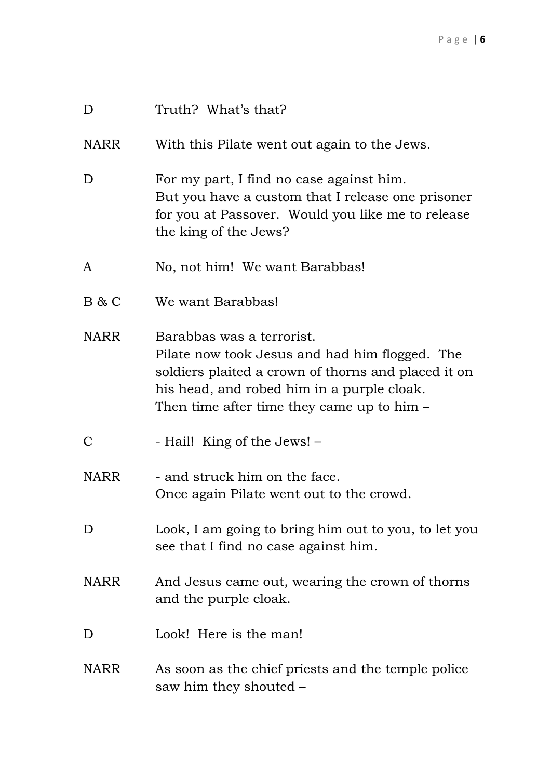| D            | Truth? What's that?                                                                                                                                                                                                              |
|--------------|----------------------------------------------------------------------------------------------------------------------------------------------------------------------------------------------------------------------------------|
| <b>NARR</b>  | With this Pilate went out again to the Jews.                                                                                                                                                                                     |
| D            | For my part, I find no case against him.<br>But you have a custom that I release one prisoner<br>for you at Passover. Would you like me to release<br>the king of the Jews?                                                      |
| A            | No, not him! We want Barabbas!                                                                                                                                                                                                   |
| B & C        | We want Barabbas!                                                                                                                                                                                                                |
| <b>NARR</b>  | Barabbas was a terrorist.<br>Pilate now took Jesus and had him flogged. The<br>soldiers plaited a crown of thorns and placed it on<br>his head, and robed him in a purple cloak.<br>Then time after time they came up to him $-$ |
| $\mathsf{C}$ | - Hail! King of the Jews! -                                                                                                                                                                                                      |
| <b>NARR</b>  | - and struck him on the face.<br>Once again Pilate went out to the crowd.                                                                                                                                                        |
| D            | Look, I am going to bring him out to you, to let you<br>see that I find no case against him.                                                                                                                                     |
| <b>NARR</b>  | And Jesus came out, wearing the crown of thorns<br>and the purple cloak.                                                                                                                                                         |
| D            | Look! Here is the man!                                                                                                                                                                                                           |
| <b>NARR</b>  | As soon as the chief priests and the temple police<br>saw him they shouted –                                                                                                                                                     |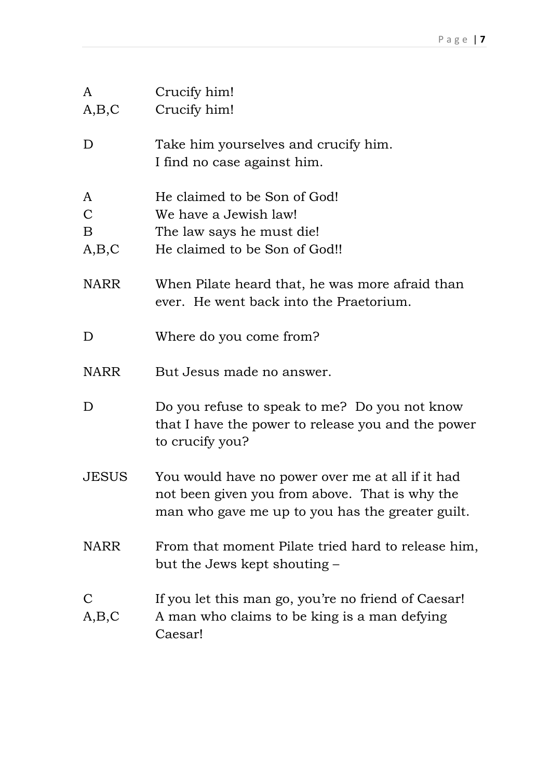| A                                | Crucify him!                                                                                                                                           |
|----------------------------------|--------------------------------------------------------------------------------------------------------------------------------------------------------|
| A,B,C                            | Crucify him!                                                                                                                                           |
| D                                | Take him yourselves and crucify him.<br>I find no case against him.                                                                                    |
| A<br>$\mathcal{C}$<br>B<br>A,B,C | He claimed to be Son of God!<br>We have a Jewish law!<br>The law says he must die!<br>He claimed to be Son of God!!                                    |
| <b>NARR</b>                      | When Pilate heard that, he was more afraid than<br>ever. He went back into the Praetorium.                                                             |
| D                                | Where do you come from?                                                                                                                                |
| <b>NARR</b>                      | But Jesus made no answer.                                                                                                                              |
| D                                | Do you refuse to speak to me? Do you not know<br>that I have the power to release you and the power<br>to crucify you?                                 |
| <b>JESUS</b>                     | You would have no power over me at all if it had<br>not been given you from above. That is why the<br>man who gave me up to you has the greater guilt. |
| <b>NARR</b>                      | From that moment Pilate tried hard to release him,<br>but the Jews kept shouting –                                                                     |
| A,B,C                            | If you let this man go, you're no friend of Caesar!<br>A man who claims to be king is a man defying<br>Caesar!                                         |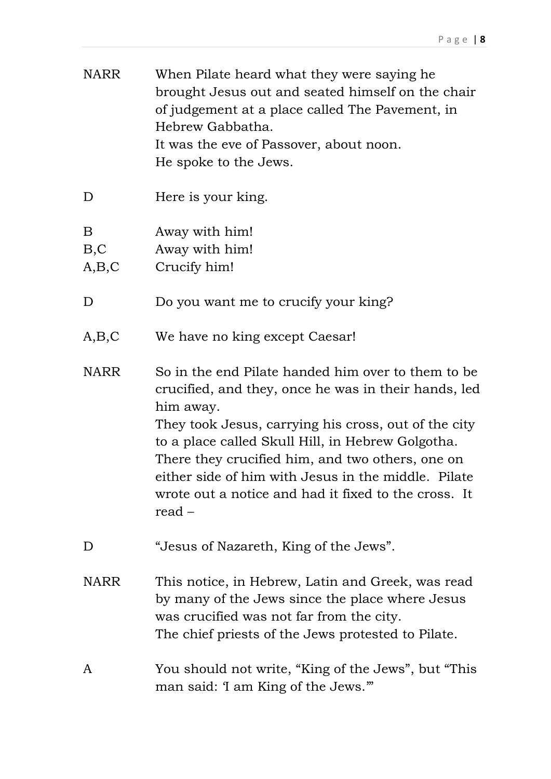| <b>NARR</b>        | When Pilate heard what they were saying he.<br>brought Jesus out and seated himself on the chair<br>of judgement at a place called The Pavement, in<br>Hebrew Gabbatha.<br>It was the eve of Passover, about noon.<br>He spoke to the Jews.                                                                                                                                                                       |
|--------------------|-------------------------------------------------------------------------------------------------------------------------------------------------------------------------------------------------------------------------------------------------------------------------------------------------------------------------------------------------------------------------------------------------------------------|
| D                  | Here is your king.                                                                                                                                                                                                                                                                                                                                                                                                |
| B<br>B, C<br>A,B,C | Away with him!<br>Away with him!<br>Crucify him!                                                                                                                                                                                                                                                                                                                                                                  |
| D                  | Do you want me to crucify your king?                                                                                                                                                                                                                                                                                                                                                                              |
| A,B,C              | We have no king except Caesar!                                                                                                                                                                                                                                                                                                                                                                                    |
| <b>NARR</b>        | So in the end Pilate handed him over to them to be<br>crucified, and they, once he was in their hands, led<br>him away.<br>They took Jesus, carrying his cross, out of the city<br>to a place called Skull Hill, in Hebrew Golgotha.<br>There they crucified him, and two others, one on<br>either side of him with Jesus in the middle. Pilate<br>wrote out a notice and had it fixed to the cross. It<br>read – |
| D                  | "Jesus of Nazareth, King of the Jews".                                                                                                                                                                                                                                                                                                                                                                            |
| <b>NARR</b>        | This notice, in Hebrew, Latin and Greek, was read<br>by many of the Jews since the place where Jesus<br>was crucified was not far from the city.<br>The chief priests of the Jews protested to Pilate.                                                                                                                                                                                                            |
| A                  | You should not write, "King of the Jews", but "This<br>man said: 'I am King of the Jews.'"                                                                                                                                                                                                                                                                                                                        |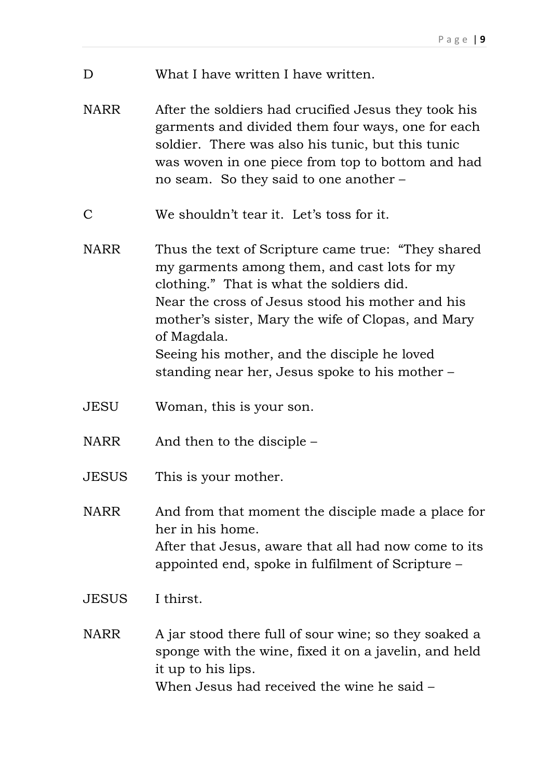- D What I have written I have written.
- NARR After the soldiers had crucified Jesus they took his garments and divided them four ways, one for each soldier. There was also his tunic, but this tunic was woven in one piece from top to bottom and had no seam. So they said to one another –
- C We shouldn't tear it. Let's toss for it.
- NARR Thus the text of Scripture came true: "They shared my garments among them, and cast lots for my clothing." That is what the soldiers did. Near the cross of Jesus stood his mother and his mother's sister, Mary the wife of Clopas, and Mary of Magdala. Seeing his mother, and the disciple he loved

standing near her, Jesus spoke to his mother –

- JESU Woman, this is your son.
- NARR And then to the disciple –
- JESUS This is your mother.

NARR And from that moment the disciple made a place for her in his home. After that Jesus, aware that all had now come to its appointed end, spoke in fulfilment of Scripture –

- JESUS I thirst.
- NARR A jar stood there full of sour wine; so they soaked a sponge with the wine, fixed it on a javelin, and held it up to his lips. When Jesus had received the wine he said –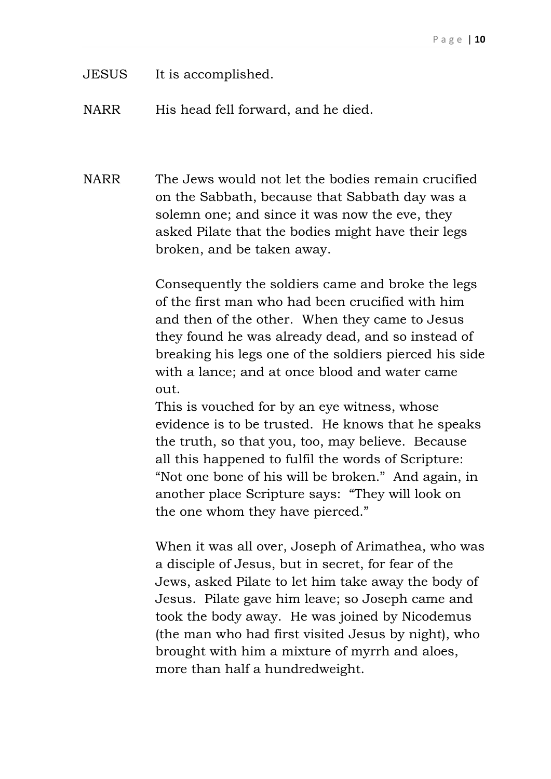- JESUS It is accomplished.
- NARR His head fell forward, and he died.

NARR The Jews would not let the bodies remain crucified on the Sabbath, because that Sabbath day was a solemn one; and since it was now the eve, they asked Pilate that the bodies might have their legs broken, and be taken away.

> Consequently the soldiers came and broke the legs of the first man who had been crucified with him and then of the other. When they came to Jesus they found he was already dead, and so instead of breaking his legs one of the soldiers pierced his side with a lance; and at once blood and water came out.

This is vouched for by an eye witness, whose evidence is to be trusted. He knows that he speaks the truth, so that you, too, may believe. Because all this happened to fulfil the words of Scripture: "Not one bone of his will be broken." And again, in another place Scripture says: "They will look on the one whom they have pierced."

When it was all over, Joseph of Arimathea, who was a disciple of Jesus, but in secret, for fear of the Jews, asked Pilate to let him take away the body of Jesus. Pilate gave him leave; so Joseph came and took the body away. He was joined by Nicodemus (the man who had first visited Jesus by night), who brought with him a mixture of myrrh and aloes, more than half a hundredweight.